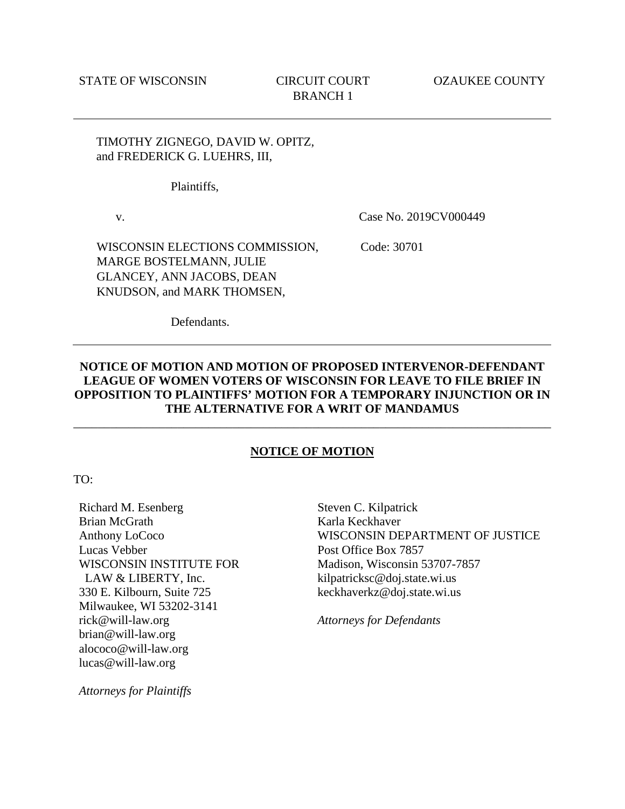## TIMOTHY ZIGNEGO, DAVID W. OPITZ, and FREDERICK G. LUEHRS, III,

Plaintiffs,

v.

Case No. 2019CV000449

WISCONSIN ELECTIONS COMMISSION, MARGE BOSTELMANN, JULIE GLANCEY, ANN JACOBS, DEAN KNUDSON, and MARK THOMSEN,

Code: 30701

Defendants.

## **NOTICE OF MOTION AND MOTION OF PROPOSED INTERVENOR-DEFENDANT LEAGUE OF WOMEN VOTERS OF WISCONSIN FOR LEAVE TO FILE BRIEF IN OPPOSITION TO PLAINTIFFS' MOTION FOR A TEMPORARY INJUNCTION OR IN THE ALTERNATIVE FOR A WRIT OF MANDAMUS**

## **NOTICE OF MOTION**

\_\_\_\_\_\_\_\_\_\_\_\_\_\_\_\_\_\_\_\_\_\_\_\_\_\_\_\_\_\_\_\_\_\_\_\_\_\_\_\_\_\_\_\_\_\_\_\_\_\_\_\_\_\_\_\_\_\_\_\_\_\_\_\_\_\_\_\_\_\_\_\_\_\_\_\_\_\_

TO:

Richard M. Esenberg Brian McGrath Anthony LoCoco Lucas Vebber WISCONSIN INSTITUTE FOR LAW & LIBERTY, Inc. 330 E. Kilbourn, Suite 725 Milwaukee, WI 53202-3141 rick@will-law.org brian@will-law.org alococo@will-law.org lucas@will-law.org

Steven C. Kilpatrick Karla Keckhaver WISCONSIN DEPARTMENT OF JUSTICE Post Office Box 7857 Madison, Wisconsin 53707-7857 kilpatricksc@doj.state.wi.us keckhaverkz@doj.state.wi.us

*Attorneys for Defendants*

*Attorneys for Plaintiffs*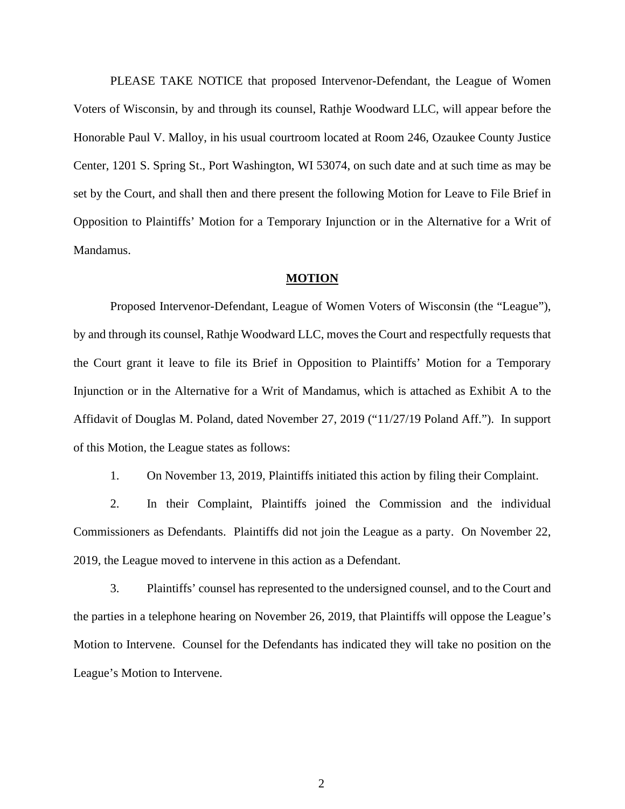PLEASE TAKE NOTICE that proposed Intervenor-Defendant, the League of Women Voters of Wisconsin, by and through its counsel, Rathje Woodward LLC, will appear before the Honorable Paul V. Malloy, in his usual courtroom located at Room 246, Ozaukee County Justice Center, 1201 S. Spring St., Port Washington, WI 53074, on such date and at such time as may be set by the Court, and shall then and there present the following Motion for Leave to File Brief in Opposition to Plaintiffs' Motion for a Temporary Injunction or in the Alternative for a Writ of Mandamus.

## **MOTION**

Proposed Intervenor-Defendant, League of Women Voters of Wisconsin (the "League"), by and through its counsel, Rathje Woodward LLC, moves the Court and respectfully requests that the Court grant it leave to file its Brief in Opposition to Plaintiffs' Motion for a Temporary Injunction or in the Alternative for a Writ of Mandamus, which is attached as Exhibit A to the Affidavit of Douglas M. Poland, dated November 27, 2019 ("11/27/19 Poland Aff."). In support of this Motion, the League states as follows:

1. On November 13, 2019, Plaintiffs initiated this action by filing their Complaint.

2. In their Complaint, Plaintiffs joined the Commission and the individual Commissioners as Defendants. Plaintiffs did not join the League as a party. On November 22, 2019, the League moved to intervene in this action as a Defendant.

3. Plaintiffs' counsel has represented to the undersigned counsel, and to the Court and the parties in a telephone hearing on November 26, 2019, that Plaintiffs will oppose the League's Motion to Intervene. Counsel for the Defendants has indicated they will take no position on the League's Motion to Intervene.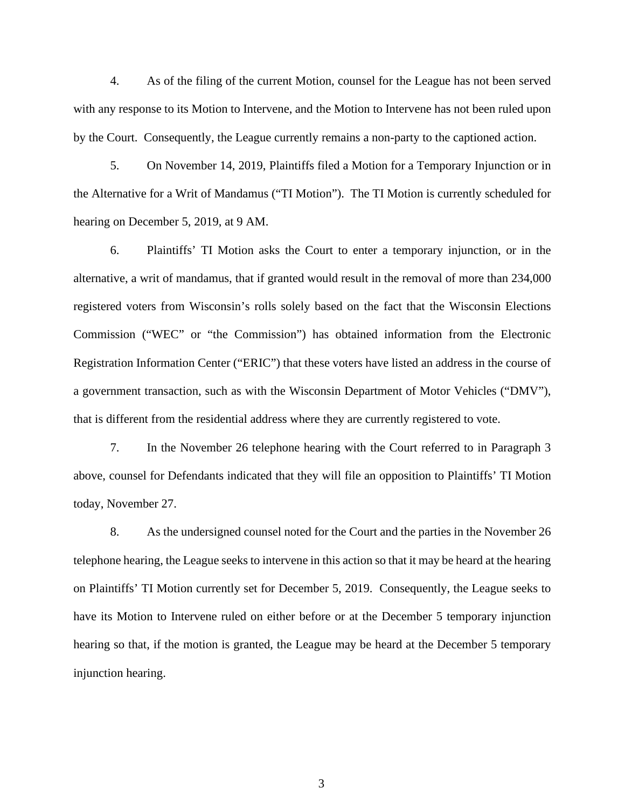4. As of the filing of the current Motion, counsel for the League has not been served with any response to its Motion to Intervene, and the Motion to Intervene has not been ruled upon by the Court. Consequently, the League currently remains a non-party to the captioned action.

5. On November 14, 2019, Plaintiffs filed a Motion for a Temporary Injunction or in the Alternative for a Writ of Mandamus ("TI Motion"). The TI Motion is currently scheduled for hearing on December 5, 2019, at 9 AM.

6. Plaintiffs' TI Motion asks the Court to enter a temporary injunction, or in the alternative, a writ of mandamus, that if granted would result in the removal of more than 234,000 registered voters from Wisconsin's rolls solely based on the fact that the Wisconsin Elections Commission ("WEC" or "the Commission") has obtained information from the Electronic Registration Information Center ("ERIC") that these voters have listed an address in the course of a government transaction, such as with the Wisconsin Department of Motor Vehicles ("DMV"), that is different from the residential address where they are currently registered to vote.

7. In the November 26 telephone hearing with the Court referred to in Paragraph 3 above, counsel for Defendants indicated that they will file an opposition to Plaintiffs' TI Motion today, November 27.

8. As the undersigned counsel noted for the Court and the parties in the November 26 telephone hearing, the League seeks to intervene in this action so that it may be heard at the hearing on Plaintiffs' TI Motion currently set for December 5, 2019. Consequently, the League seeks to have its Motion to Intervene ruled on either before or at the December 5 temporary injunction hearing so that, if the motion is granted, the League may be heard at the December 5 temporary injunction hearing.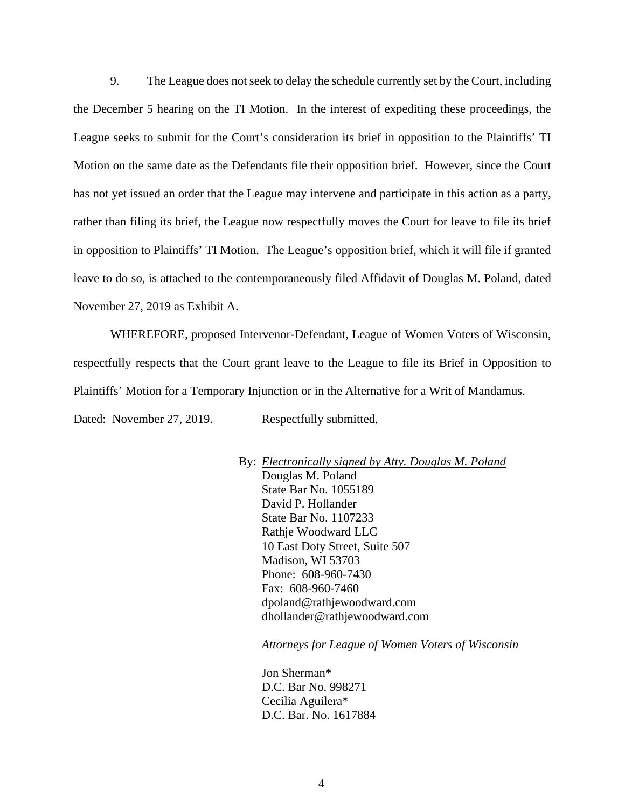9. The League does not seek to delay the schedule currently set by the Court, including the December 5 hearing on the TI Motion. In the interest of expediting these proceedings, the League seeks to submit for the Court's consideration its brief in opposition to the Plaintiffs' TI Motion on the same date as the Defendants file their opposition brief. However, since the Court has not yet issued an order that the League may intervene and participate in this action as a party, rather than filing its brief, the League now respectfully moves the Court for leave to file its brief in opposition to Plaintiffs' TI Motion. The League's opposition brief, which it will file if granted leave to do so, is attached to the contemporaneously filed Affidavit of Douglas M. Poland, dated November 27, 2019 as Exhibit A.

WHEREFORE, proposed Intervenor-Defendant, League of Women Voters of Wisconsin, respectfully respects that the Court grant leave to the League to file its Brief in Opposition to Plaintiffs' Motion for a Temporary Injunction or in the Alternative for a Writ of Mandamus.

Dated: November 27, 2019. Respectfully submitted,

By: *Electronically signed by Atty. Douglas M. Poland* Douglas M. Poland State Bar No. 1055189 David P. Hollander State Bar No. 1107233 Rathje Woodward LLC 10 East Doty Street, Suite 507 Madison, WI 53703 Phone: 608-960-7430 Fax: 608-960-7460 dpoland@rathjewoodward.com dhollander@rathjewoodward.com

*Attorneys for League of Women Voters of Wisconsin*

Jon Sherman\* D.C. Bar No. 998271 Cecilia Aguilera\* D.C. Bar. No. 1617884